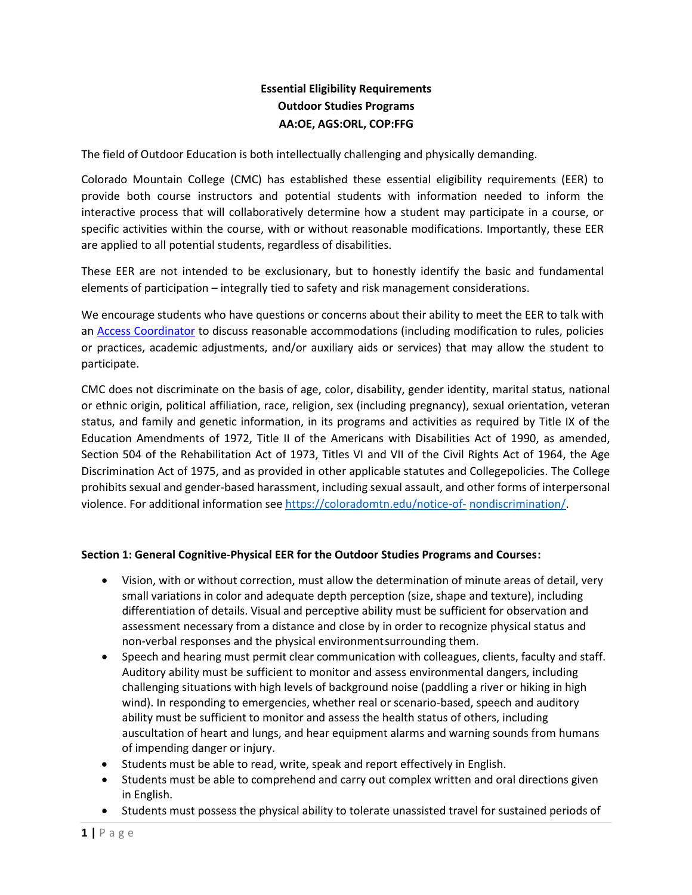# **Essential Eligibility Requirements Outdoor Studies Programs AA:OE, AGS:ORL, COP:FFG**

The field of Outdoor Education is both intellectually challenging and physically demanding.

Colorado Mountain College (CMC) has established these essential eligibility requirements (EER) to provide both course instructors and potential students with information needed to inform the interactive process that will collaboratively determine how a student may participate in a course, or specific activities within the course, with or without reasonable modifications. Importantly, these EER are applied to all potential students, regardless of disabilities.

These EER are not intended to be exclusionary, but to honestly identify the basic and fundamental elements of participation – integrally tied to safety and risk management considerations.

We encourage students who have questions or concerns about their ability to meet the EER to talk with an [Access Coordinator](https://coloradomtn.edu/apply-get-started/access-inclusion-disability-services/staff/) to discuss reasonable accommodations (including modification to rules, policies or practices, academic adjustments, and/or auxiliary aids or services) that may allow the student to participate.

CMC does not discriminate on the basis of age, color, disability, gender identity, marital status, national or ethnic origin, political affiliation, race, religion, sex (including pregnancy), sexual orientation, veteran status, and family and genetic information, in its programs and activities as required by Title IX of the Education Amendments of 1972, Title II of the Americans with Disabilities Act of 1990, as amended, Section 504 of the Rehabilitation Act of 1973, Titles VI and VII of the Civil Rights Act of 1964, the Age Discrimination Act of 1975, and as provided in other applicable statutes and Collegepolicies. The College prohibits sexual and gender-based harassment, including sexual assault, and other forms of interpersonal violence. For additional information se[e https://coloradomtn.edu/notice-of-](https://coloradomtn.edu/notice-of-nondiscrimination/) [nondiscrimination/.](https://coloradomtn.edu/notice-of-nondiscrimination/)

### **Section 1: General Cognitive-Physical EER for the Outdoor Studies Programs and Courses :**

- Vision, with or without correction, must allow the determination of minute areas of detail, very small variations in color and adequate depth perception (size, shape and texture), including differentiation of details. Visual and perceptive ability must be sufficient for observation and assessment necessary from a distance and close by in order to recognize physical status and non-verbal responses and the physical environment surrounding them.
- Speech and hearing must permit clear communication with colleagues, clients, faculty and staff. Auditory ability must be sufficient to monitor and assess environmental dangers, including challenging situations with high levels of background noise (paddling a river or hiking in high wind). In responding to emergencies, whether real or scenario-based, speech and auditory ability must be sufficient to monitor and assess the health status of others, including auscultation of heart and lungs, and hear equipment alarms and warning sounds from humans of impending danger or injury.
- Students must be able to read, write, speak and report effectively in English.
- Students must be able to comprehend and carry out complex written and oral directions given in English.
- Students must possess the physical ability to tolerate unassisted travel for sustained periods of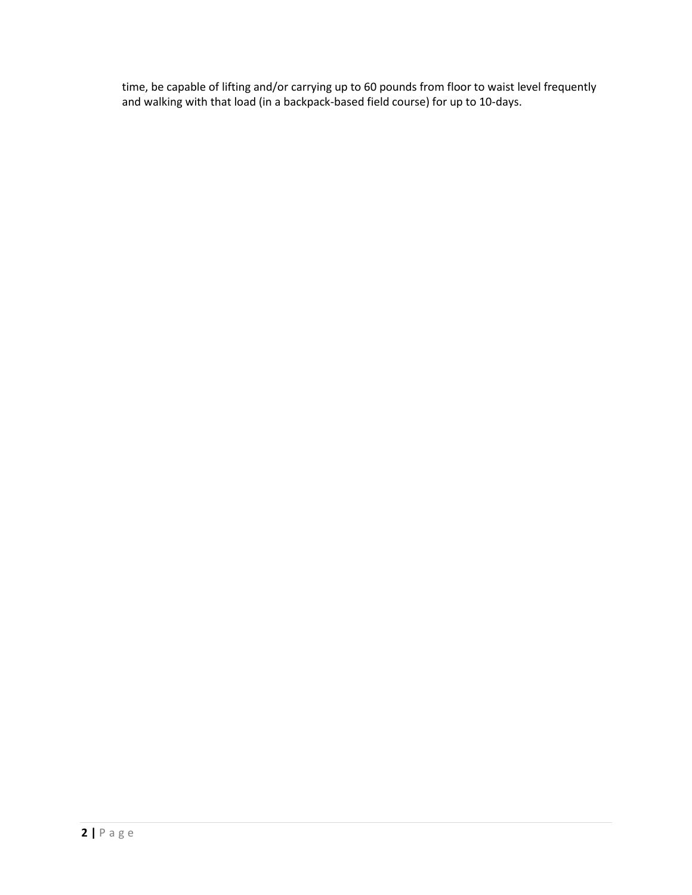time, be capable of lifting and/or carrying up to 60 pounds from floor to waist level frequently and walking with that load (in a backpack-based field course) for up to 10-days.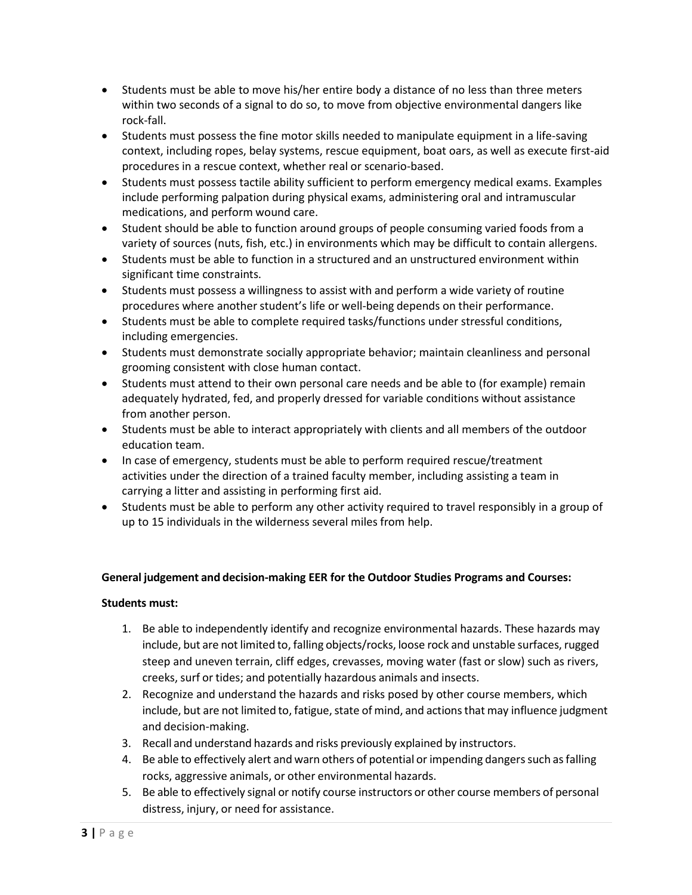- Students must be able to move his/her entire body a distance of no less than three meters within two seconds of a signal to do so, to move from objective environmental dangers like rock-fall.
- Students must possess the fine motor skills needed to manipulate equipment in a life-saving context, including ropes, belay systems, rescue equipment, boat oars, as well as execute first-aid procedures in a rescue context, whether real or scenario-based.
- Students must possess tactile ability sufficient to perform emergency medical exams. Examples include performing palpation during physical exams, administering oral and intramuscular medications, and perform wound care.
- Student should be able to function around groups of people consuming varied foods from a variety of sources (nuts, fish, etc.) in environments which may be difficult to contain allergens.
- Students must be able to function in a structured and an unstructured environment within significant time constraints.
- Students must possess a willingness to assist with and perform a wide variety of routine procedures where another student's life or well-being depends on their performance.
- Students must be able to complete required tasks/functions under stressful conditions, including emergencies.
- Students must demonstrate socially appropriate behavior; maintain cleanliness and personal grooming consistent with close human contact.
- Students must attend to their own personal care needs and be able to (for example) remain adequately hydrated, fed, and properly dressed for variable conditions without assistance from another person.
- Students must be able to interact appropriately with clients and all members of the outdoor education team.
- In case of emergency, students must be able to perform required rescue/treatment activities under the direction of a trained faculty member, including assisting a team in carrying a litter and assisting in performing first aid.
- Students must be able to perform any other activity required to travel responsibly in a group of up to 15 individuals in the wilderness several miles from help.

# **General judgement and decision-making EER for the Outdoor Studies Programs and Courses:**

# **Students must:**

- 1. Be able to independently identify and recognize environmental hazards. These hazards may include, but are not limited to, falling objects/rocks, loose rock and unstable surfaces, rugged steep and uneven terrain, cliff edges, crevasses, moving water (fast or slow) such as rivers, creeks, surf or tides; and potentially hazardous animals and insects.
- 2. Recognize and understand the hazards and risks posed by other course members, which include, but are not limited to, fatigue, state of mind, and actions that may influence judgment and decision-making.
- 3. Recall and understand hazards and risks previously explained by instructors.
- 4. Be able to effectively alert and warn others of potential or impending dangers such as falling rocks, aggressive animals, or other environmental hazards.
- 5. Be able to effectively signal or notify course instructors or other course members of personal distress, injury, or need for assistance.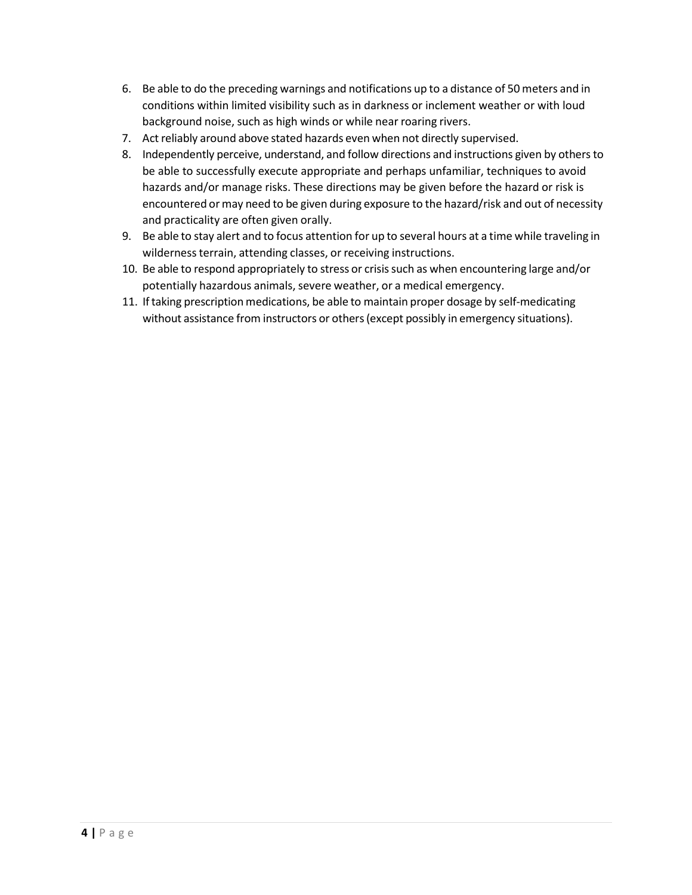- 6. Be able to do the preceding warnings and notifications up to a distance of 50 meters and in conditions within limited visibility such as in darkness or inclement weather or with loud background noise, such as high winds or while near roaring rivers.
- 7. Act reliably around above stated hazards even when not directly supervised.
- 8. Independently perceive, understand, and follow directions and instructions given by othersto be able to successfully execute appropriate and perhaps unfamiliar, techniques to avoid hazards and/or manage risks. These directions may be given before the hazard or risk is encountered or may need to be given during exposure to the hazard/risk and out of necessity and practicality are often given orally.
- 9. Be able to stay alert and to focus attention for up to several hours at a time while traveling in wilderness terrain, attending classes, or receiving instructions.
- 10. Be able to respond appropriately to stress or crisissuch as when encountering large and/or potentially hazardous animals, severe weather, or a medical emergency.
- 11. Iftaking prescription medications, be able to maintain proper dosage by self-medicating without assistance from instructors or others (except possibly in emergency situations).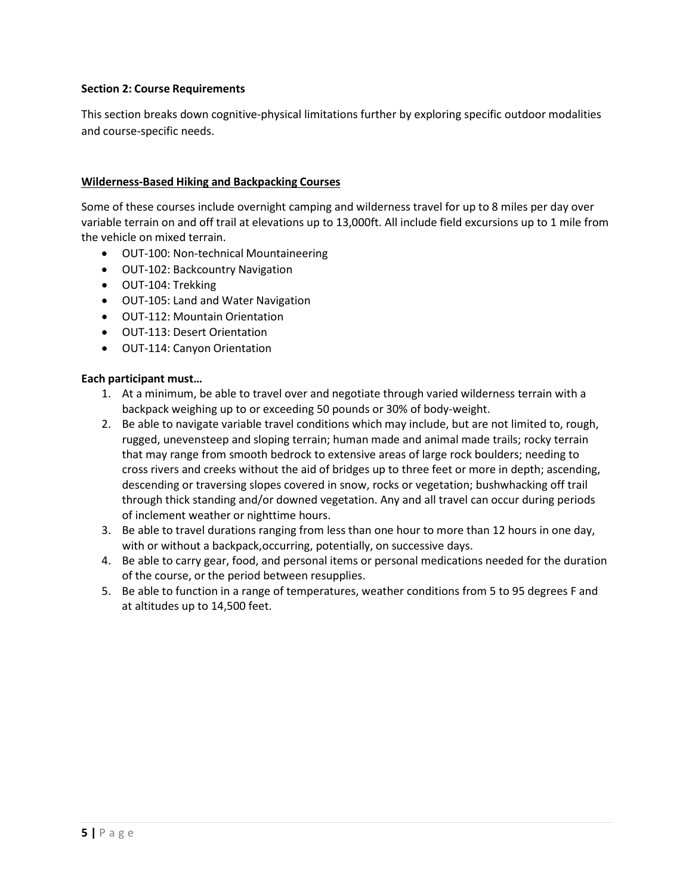### **Section 2: Course Requirements**

This section breaks down cognitive-physical limitations further by exploring specific outdoor modalities and course-specific needs.

### **Wilderness-Based Hiking and Backpacking Courses**

Some of these courses include overnight camping and wilderness travel for up to 8 miles per day over variable terrain on and off trail at elevations up to 13,000ft. All include field excursions up to 1 mile from the vehicle on mixed terrain.

- OUT-100: Non-technical Mountaineering
- OUT-102: Backcountry Navigation
- OUT-104: Trekking
- OUT-105: Land and Water Navigation
- OUT-112: Mountain Orientation
- OUT-113: Desert Orientation
- OUT-114: Canyon Orientation

#### **Each participant must…**

- 1. At a minimum, be able to travel over and negotiate through varied wilderness terrain with a backpack weighing up to or exceeding 50 pounds or 30% of body-weight.
- 2. Be able to navigate variable travel conditions which may include, but are not limited to, rough, rugged, unevensteep and sloping terrain; human made and animal made trails; rocky terrain that may range from smooth bedrock to extensive areas of large rock boulders; needing to cross rivers and creeks without the aid of bridges up to three feet or more in depth; ascending, descending or traversing slopes covered in snow, rocks or vegetation; bushwhacking off trail through thick standing and/or downed vegetation. Any and all travel can occur during periods of inclement weather or nighttime hours.
- 3. Be able to travel durations ranging from less than one hour to more than 12 hours in one day, with or without a backpack, occurring, potentially, on successive days.
- 4. Be able to carry gear, food, and personal items or personal medications needed for the duration of the course, or the period between resupplies.
- 5. Be able to function in a range of temperatures, weather conditions from 5 to 95 degrees F and at altitudes up to 14,500 feet.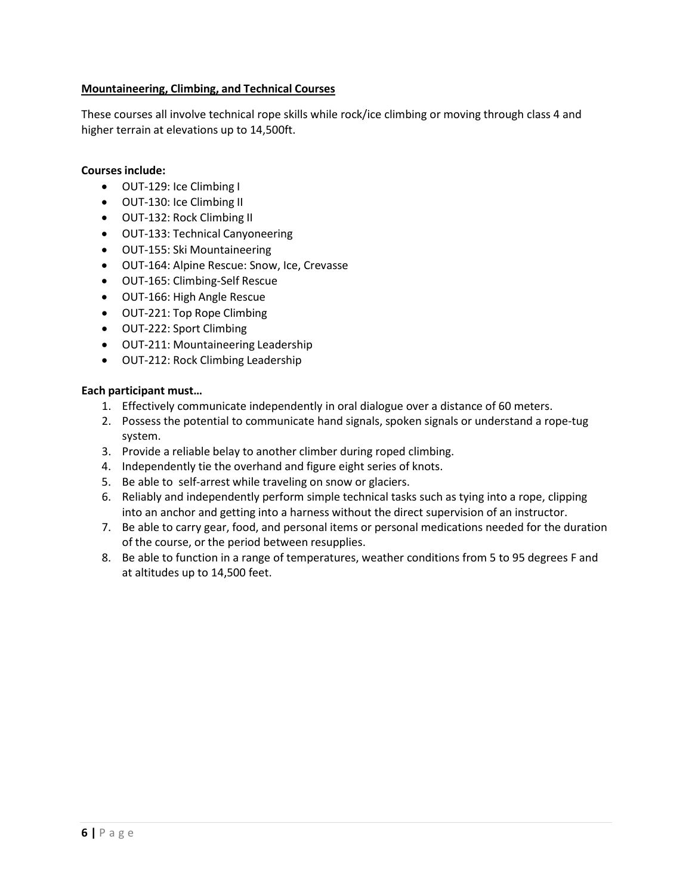# **Mountaineering, Climbing, and Technical Courses**

These courses all involve technical rope skills while rock/ice climbing or moving through class 4 and higher terrain at elevations up to 14,500ft.

#### **Courses include:**

- OUT-129: Ice Climbing I
- OUT-130: Ice Climbing II
- OUT-132: Rock Climbing II
- OUT-133: Technical Canyoneering
- OUT-155: Ski Mountaineering
- OUT-164: Alpine Rescue: Snow, Ice, Crevasse
- OUT-165: Climbing-Self Rescue
- OUT-166: High Angle Rescue
- OUT-221: Top Rope Climbing
- OUT-222: Sport Climbing
- OUT-211: Mountaineering Leadership
- OUT-212: Rock Climbing Leadership

#### **Each participant must…**

- 1. Effectively communicate independently in oral dialogue over a distance of 60 meters.
- 2. Possess the potential to communicate hand signals, spoken signals or understand a rope-tug system.
- 3. Provide a reliable belay to another climber during roped climbing.
- 4. Independently tie the overhand and figure eight series of knots.
- 5. Be able to self-arrest while traveling on snow or glaciers.
- 6. Reliably and independently perform simple technical tasks such as tying into a rope, clipping into an anchor and getting into a harness without the direct supervision of an instructor.
- 7. Be able to carry gear, food, and personal items or personal medications needed for the duration of the course, or the period between resupplies.
- 8. Be able to function in a range of temperatures, weather conditions from 5 to 95 degrees F and at altitudes up to 14,500 feet.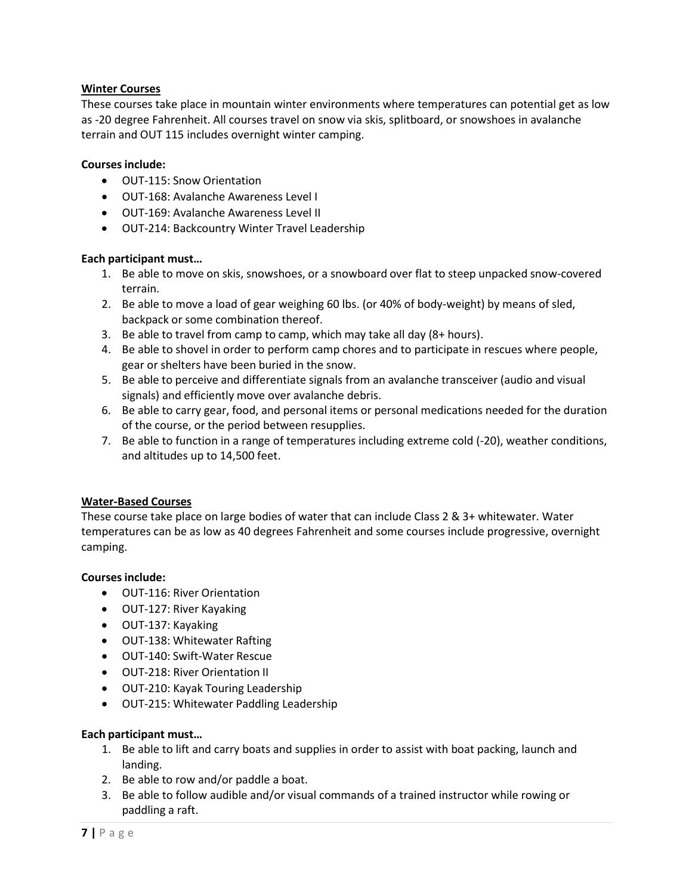# **Winter Courses**

These courses take place in mountain winter environments where temperatures can potential get as low as -20 degree Fahrenheit. All courses travel on snow via skis, splitboard, or snowshoes in avalanche terrain and OUT 115 includes overnight winter camping.

# **Courses include:**

- OUT-115: Snow Orientation
- OUT-168: Avalanche Awareness Level I
- OUT-169: Avalanche Awareness Level II
- OUT-214: Backcountry Winter Travel Leadership

# **Each participant must…**

- 1. Be able to move on skis, snowshoes, or a snowboard over flat to steep unpacked snow-covered terrain.
- 2. Be able to move a load of gear weighing 60 lbs. (or 40% of body-weight) by means of sled, backpack or some combination thereof.
- 3. Be able to travel from camp to camp, which may take all day (8+ hours).
- 4. Be able to shovel in order to perform camp chores and to participate in rescues where people, gear or shelters have been buried in the snow.
- 5. Be able to perceive and differentiate signals from an avalanche transceiver (audio and visual signals) and efficiently move over avalanche debris.
- 6. Be able to carry gear, food, and personal items or personal medications needed for the duration of the course, or the period between resupplies.
- 7. Be able to function in a range of temperatures including extreme cold (-20), weather conditions, and altitudes up to 14,500 feet.

# **Water-Based Courses**

These course take place on large bodies of water that can include Class 2 & 3+ whitewater. Water temperatures can be as low as 40 degrees Fahrenheit and some courses include progressive, overnight camping.

### **Courses include:**

- OUT-116: River Orientation
- OUT-127: River Kayaking
- OUT-137: Kayaking
- OUT-138: Whitewater Rafting
- OUT-140: Swift-Water Rescue
- OUT-218: River Orientation II
- OUT-210: Kayak Touring Leadership
- OUT-215: Whitewater Paddling Leadership

# **Each participant must…**

- 1. Be able to lift and carry boats and supplies in order to assist with boat packing, launch and landing.
- 2. Be able to row and/or paddle a boat.
- 3. Be able to follow audible and/or visual commands of a trained instructor while rowing or paddling a raft.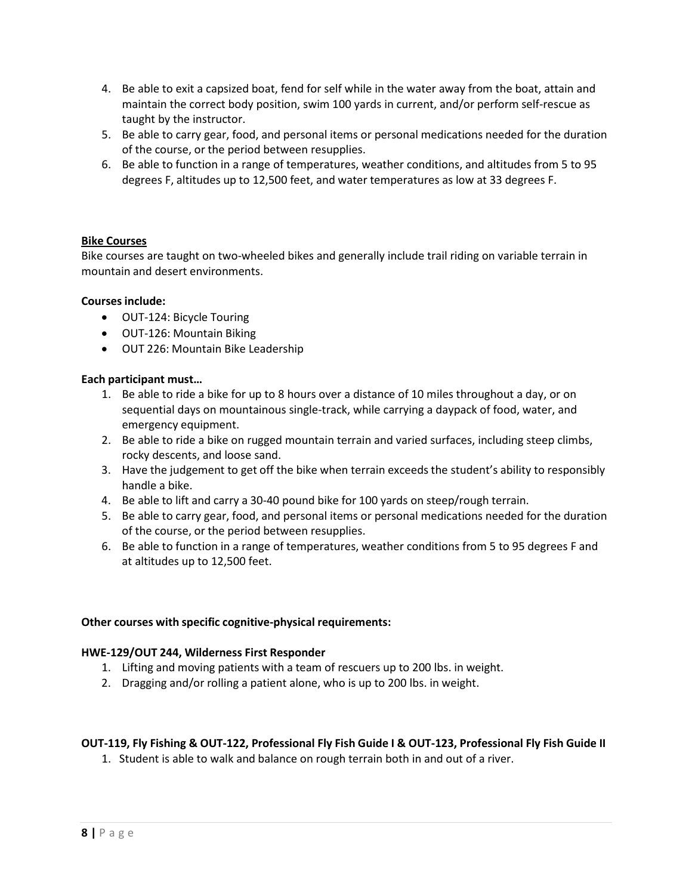- 4. Be able to exit a capsized boat, fend for self while in the water away from the boat, attain and maintain the correct body position, swim 100 yards in current, and/or perform self-rescue as taught by the instructor.
- 5. Be able to carry gear, food, and personal items or personal medications needed for the duration of the course, or the period between resupplies.
- 6. Be able to function in a range of temperatures, weather conditions, and altitudes from 5 to 95 degrees F, altitudes up to 12,500 feet, and water temperatures as low at 33 degrees F.

# **Bike Courses**

Bike courses are taught on two-wheeled bikes and generally include trail riding on variable terrain in mountain and desert environments.

### **Courses include:**

- OUT-124: Bicycle Touring
- OUT-126: Mountain Biking
- OUT 226: Mountain Bike Leadership

### **Each participant must…**

- 1. Be able to ride a bike for up to 8 hours over a distance of 10 miles throughout a day, or on sequential days on mountainous single-track, while carrying a daypack of food, water, and emergency equipment.
- 2. Be able to ride a bike on rugged mountain terrain and varied surfaces, including steep climbs, rocky descents, and loose sand.
- 3. Have the judgement to get off the bike when terrain exceeds the student's ability to responsibly handle a bike.
- 4. Be able to lift and carry a 30-40 pound bike for 100 yards on steep/rough terrain.
- 5. Be able to carry gear, food, and personal items or personal medications needed for the duration of the course, or the period between resupplies.
- 6. Be able to function in a range of temperatures, weather conditions from 5 to 95 degrees F and at altitudes up to 12,500 feet.

### **Other courses with specific cognitive-physical requirements:**

### **HWE-129/OUT 244, Wilderness First Responder**

- 1. Lifting and moving patients with a team of rescuers up to 200 lbs. in weight.
- 2. Dragging and/or rolling a patient alone, who is up to 200 lbs. in weight.

# **OUT-119, Fly Fishing & OUT-122, Professional Fly Fish Guide I & OUT-123, Professional Fly Fish Guide II**

1. Student is able to walk and balance on rough terrain both in and out of a river.